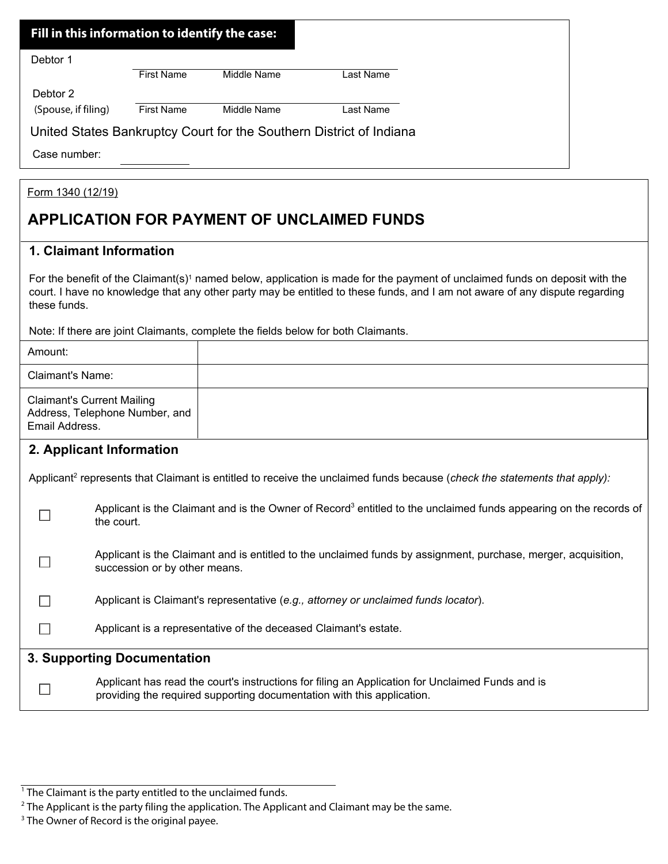| Fill in this information to identify the case: |                   |                                                                     |           |
|------------------------------------------------|-------------------|---------------------------------------------------------------------|-----------|
| Debtor 1                                       |                   |                                                                     |           |
|                                                | <b>First Name</b> | Middle Name                                                         | Last Name |
| Debtor 2                                       |                   |                                                                     |           |
| (Spouse, if filing)                            | <b>First Name</b> | Middle Name                                                         | Last Name |
|                                                |                   | United States Bankruptcy Court for the Southern District of Indiana |           |
| Case number:                                   |                   |                                                                     |           |

## Form 1340 (12/19)

## **APPLICATION FOR PAYMENT OF UNCLAIMED FUNDS**

## **1. Claimant Information**

For the benefit of the Claimant(s)<sup>1</sup> named below, application is made for the payment of unclaimed funds on deposit with the court. I have no knowledge that any other party may be entitled to these funds, and I am not aware of any dispute regarding these funds.

Note: If there are joint Claimants, complete the fields below for both Claimants.

| Amount:                                                                                                                               |                                                                                                                                                                            |  |  |  |
|---------------------------------------------------------------------------------------------------------------------------------------|----------------------------------------------------------------------------------------------------------------------------------------------------------------------------|--|--|--|
| Claimant's Name:                                                                                                                      |                                                                                                                                                                            |  |  |  |
| <b>Claimant's Current Mailing</b><br>Address, Telephone Number, and<br>Email Address.                                                 |                                                                                                                                                                            |  |  |  |
| 2. Applicant Information                                                                                                              |                                                                                                                                                                            |  |  |  |
| Applicant <sup>2</sup> represents that Claimant is entitled to receive the unclaimed funds because (check the statements that apply): |                                                                                                                                                                            |  |  |  |
|                                                                                                                                       | Applicant is the Claimant and is the Owner of Record <sup>3</sup> entitled to the unclaimed funds appearing on the records of<br>the court.                                |  |  |  |
|                                                                                                                                       | Applicant is the Claimant and is entitled to the unclaimed funds by assignment, purchase, merger, acquisition,<br>succession or by other means.                            |  |  |  |
|                                                                                                                                       | Applicant is Claimant's representative (e.g., attorney or unclaimed funds locator).                                                                                        |  |  |  |
|                                                                                                                                       | Applicant is a representative of the deceased Claimant's estate.                                                                                                           |  |  |  |
| 3. Supporting Documentation                                                                                                           |                                                                                                                                                                            |  |  |  |
|                                                                                                                                       | Applicant has read the court's instructions for filing an Application for Unclaimed Funds and is<br>providing the required supporting documentation with this application. |  |  |  |

<sup>&</sup>lt;sup>1</sup> The Claimant is the party entitled to the unclaimed funds.

 $2$  The Applicant is the party filing the application. The Applicant and Claimant may be the same.

<sup>&</sup>lt;sup>3</sup> The Owner of Record is the original payee.